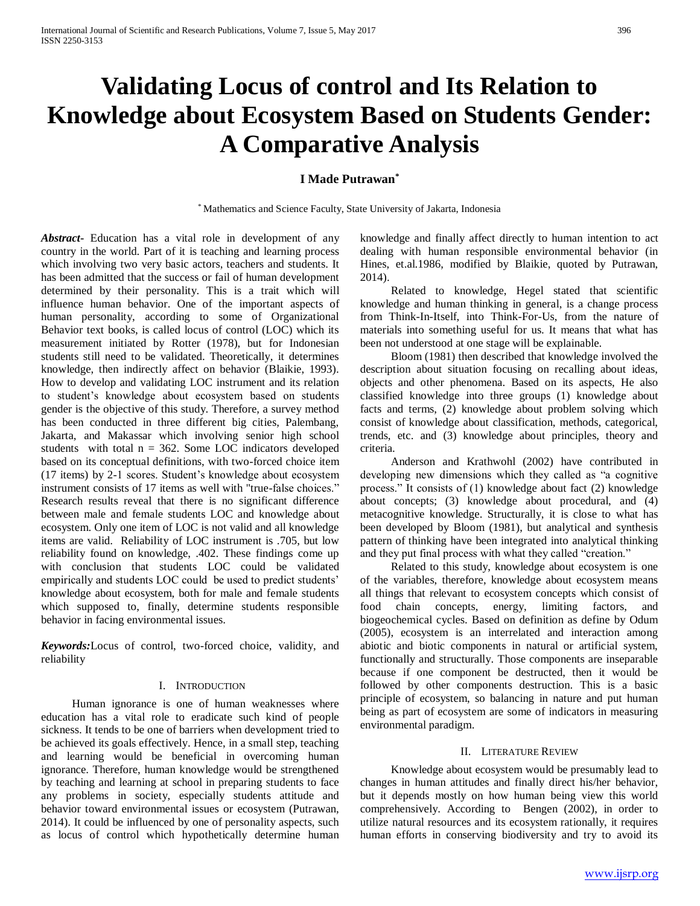# **Validating Locus of control and Its Relation to Knowledge about Ecosystem Based on Students Gender: A Comparative Analysis**

# **I Made Putrawan\***

\* Mathematics and Science Faculty, State University of Jakarta, Indonesia

*Abstract***-** Education has a vital role in development of any country in the world. Part of it is teaching and learning process which involving two very basic actors, teachers and students. It has been admitted that the success or fail of human development determined by their personality. This is a trait which will influence human behavior. One of the important aspects of human personality, according to some of Organizational Behavior text books, is called locus of control (LOC) which its measurement initiated by Rotter (1978), but for Indonesian students still need to be validated. Theoretically, it determines knowledge, then indirectly affect on behavior (Blaikie, 1993). How to develop and validating LOC instrument and its relation to student's knowledge about ecosystem based on students gender is the objective of this study. Therefore, a survey method has been conducted in three different big cities, Palembang, Jakarta, and Makassar which involving senior high school students with total  $n = 362$ . Some LOC indicators developed based on its conceptual definitions, with two-forced choice item (17 items) by 2-1 scores. Student's knowledge about ecosystem instrument consists of 17 items as well with "true-false choices." Research results reveal that there is no significant difference between male and female students LOC and knowledge about ecosystem. Only one item of LOC is not valid and all knowledge items are valid. Reliability of LOC instrument is .705, but low reliability found on knowledge, .402. These findings come up with conclusion that students LOC could be validated empirically and students LOC could be used to predict students' knowledge about ecosystem, both for male and female students which supposed to, finally, determine students responsible behavior in facing environmental issues.

*Keywords:*Locus of control, two-forced choice, validity, and reliability

#### I. INTRODUCTION

Human ignorance is one of human weaknesses where education has a vital role to eradicate such kind of people sickness. It tends to be one of barriers when development tried to be achieved its goals effectively. Hence, in a small step, teaching and learning would be beneficial in overcoming human ignorance. Therefore, human knowledge would be strengthened by teaching and learning at school in preparing students to face any problems in society, especially students attitude and behavior toward environmental issues or ecosystem (Putrawan, 2014). It could be influenced by one of personality aspects, such as locus of control which hypothetically determine human knowledge and finally affect directly to human intention to act dealing with human responsible environmental behavior (in Hines, et.al.1986, modified by Blaikie, quoted by Putrawan, 2014).

Related to knowledge, Hegel stated that scientific knowledge and human thinking in general, is a change process from Think-In-Itself, into Think-For-Us, from the nature of materials into something useful for us. It means that what has been not understood at one stage will be explainable.

Bloom (1981) then described that knowledge involved the description about situation focusing on recalling about ideas, objects and other phenomena. Based on its aspects, He also classified knowledge into three groups (1) knowledge about facts and terms, (2) knowledge about problem solving which consist of knowledge about classification, methods, categorical, trends, etc. and (3) knowledge about principles, theory and criteria.

Anderson and Krathwohl (2002) have contributed in developing new dimensions which they called as "a cognitive process." It consists of (1) knowledge about fact (2) knowledge about concepts; (3) knowledge about procedural, and (4) metacognitive knowledge. Structurally, it is close to what has been developed by Bloom (1981), but analytical and synthesis pattern of thinking have been integrated into analytical thinking and they put final process with what they called "creation."

Related to this study, knowledge about ecosystem is one of the variables, therefore, knowledge about ecosystem means all things that relevant to ecosystem concepts which consist of food chain concepts, energy, limiting factors, and biogeochemical cycles. Based on definition as define by Odum (2005), ecosystem is an interrelated and interaction among abiotic and biotic components in natural or artificial system, functionally and structurally. Those components are inseparable because if one component be destructed, then it would be followed by other components destruction. This is a basic principle of ecosystem, so balancing in nature and put human being as part of ecosystem are some of indicators in measuring environmental paradigm.

#### II. LITERATURE REVIEW

Knowledge about ecosystem would be presumably lead to changes in human attitudes and finally direct his/her behavior, but it depends mostly on how human being view this world comprehensively. According to Bengen (2002), in order to utilize natural resources and its ecosystem rationally, it requires human efforts in conserving biodiversity and try to avoid its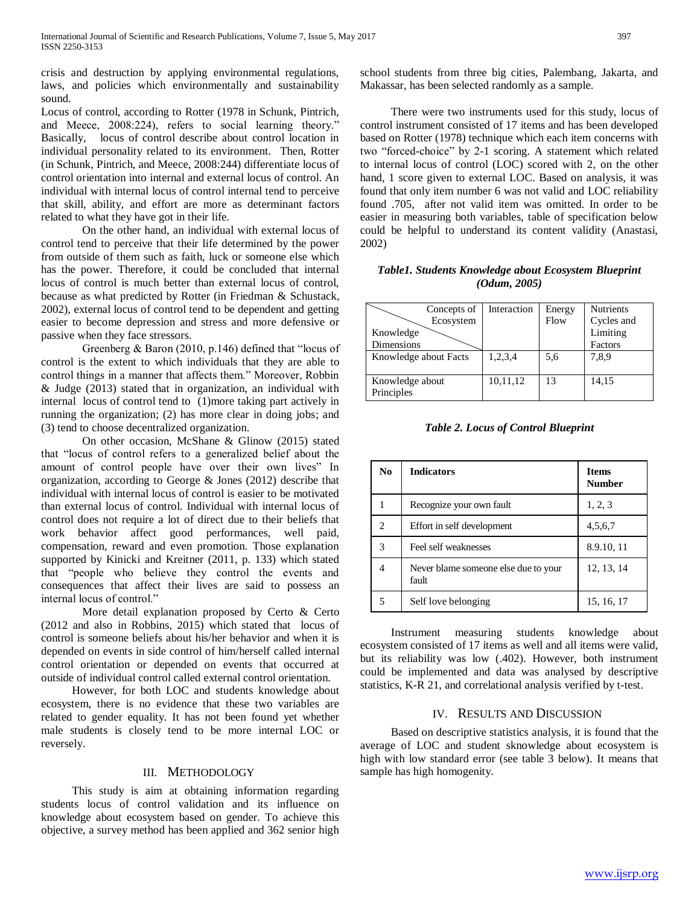crisis and destruction by applying environmental regulations, laws, and policies which environmentally and sustainability sound.

Locus of control, according to Rotter (1978 in Schunk, Pintrich, and Meece, 2008:224), refers to social learning theory." Basically, locus of control describe about control location in individual personality related to its environment. Then, Rotter (in Schunk, Pintrich, and Meece, 2008:244) differentiate locus of control orientation into internal and external locus of control. An individual with internal locus of control internal tend to perceive that skill, ability, and effort are more as determinant factors related to what they have got in their life.

On the other hand, an individual with external locus of control tend to perceive that their life determined by the power from outside of them such as faith, luck or someone else which has the power. Therefore, it could be concluded that internal locus of control is much better than external locus of control, because as what predicted by Rotter (in Friedman & Schustack, 2002), external locus of control tend to be dependent and getting easier to become depression and stress and more defensive or passive when they face stressors.

Greenberg & Baron (2010, p.146) defined that "locus of control is the extent to which individuals that they are able to control things in a manner that affects them." Moreover, Robbin & Judge (2013) stated that in organization, an individual with internal locus of control tend to (1)more taking part actively in running the organization; (2) has more clear in doing jobs; and (3) tend to choose decentralized organization.

On other occasion, McShane & Glinow (2015) stated that "locus of control refers to a generalized belief about the amount of control people have over their own lives" In organization, according to George & Jones (2012) describe that individual with internal locus of control is easier to be motivated than external locus of control. Individual with internal locus of control does not require a lot of direct due to their beliefs that work behavior affect good performances, well paid, compensation, reward and even promotion. Those explanation supported by Kinicki and Kreitner (2011, p. 133) which stated that "people who believe they control the events and consequences that affect their lives are said to possess an internal locus of control."

More detail explanation proposed by Certo & Certo (2012 and also in Robbins, 2015) which stated that locus of control is someone beliefs about his/her behavior and when it is depended on events in side control of him/herself called internal control orientation or depended on events that occurred at outside of individual control called external control orientation.

However, for both LOC and students knowledge about ecosystem, there is no evidence that these two variables are related to gender equality. It has not been found yet whether male students is closely tend to be more internal LOC or reversely.

# III. METHODOLOGY

This study is aim at obtaining information regarding students locus of control validation and its influence on knowledge about ecosystem based on gender. To achieve this objective, a survey method has been applied and 362 senior high

school students from three big cities, Palembang, Jakarta, and Makassar, has been selected randomly as a sample.

There were two instruments used for this study, locus of control instrument consisted of 17 items and has been developed based on Rotter (1978) technique which each item concerns with two "forced-choice" by 2-1 scoring. A statement which related to internal locus of control (LOC) scored with 2, on the other hand, 1 score given to external LOC. Based on analysis, it was found that only item number 6 was not valid and LOC reliability found .705, after not valid item was omitted. In order to be easier in measuring both variables, table of specification below could be helpful to understand its content validity (Anastasi, 2002)

## *Table1. Students Knowledge about Ecosystem Blueprint (Odum, 2005)*

| Concepts of           | Interaction | Energy | <b>Nutrients</b> |
|-----------------------|-------------|--------|------------------|
| Ecosystem             |             | Flow   | Cycles and       |
| Knowledge             |             |        | Limiting         |
| Dimensions            |             |        | Factors          |
| Knowledge about Facts | 1,2,3,4     | 5,6    | 7,8,9            |
|                       |             |        |                  |
| Knowledge about       | 10,11,12    | 13     | 14,15            |
| Principles            |             |        |                  |

|  |  |  |  |  | <b>Table 2. Locus of Control Blueprint</b> |
|--|--|--|--|--|--------------------------------------------|
|--|--|--|--|--|--------------------------------------------|

| No. | <b>Indicators</b>                             | <b>Items</b><br><b>Number</b> |
|-----|-----------------------------------------------|-------------------------------|
|     | Recognize your own fault                      | 1, 2, 3                       |
| 2   | Effort in self development                    | 4,5,6,7                       |
| 3   | Feel self weaknesses                          | 8.9.10, 11                    |
|     | Never blame someone else due to your<br>fault | 12, 13, 14                    |
|     | Self love belonging                           | 15, 16, 17                    |

Instrument measuring students knowledge about ecosystem consisted of 17 items as well and all items were valid, but its reliability was low (.402). However, both instrument could be implemented and data was analysed by descriptive statistics, K-R 21, and correlational analysis verified by t-test.

#### IV. RESULTS AND DISCUSSION

Based on descriptive statistics analysis, it is found that the average of LOC and student sknowledge about ecosystem is high with low standard error (see table 3 below). It means that sample has high homogenity.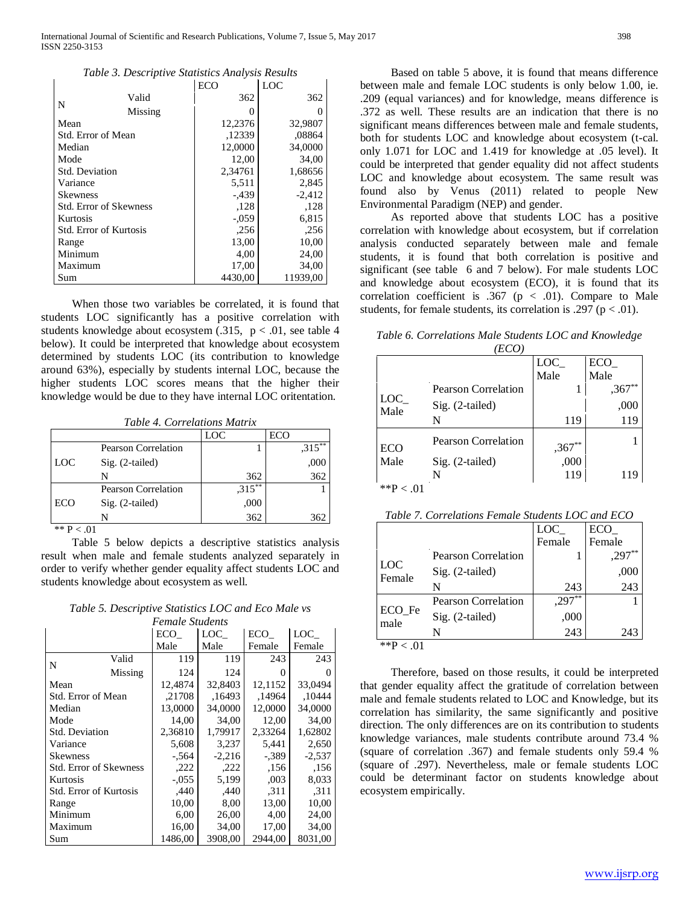|  |  |  |  |  |  | Table 3. Descriptive Statistics Analysis Results |  |  |
|--|--|--|--|--|--|--------------------------------------------------|--|--|
|--|--|--|--|--|--|--------------------------------------------------|--|--|

|                               |         | ECO     | LOC      |
|-------------------------------|---------|---------|----------|
| N                             | Valid   | 362     | 362      |
|                               | Missing | 0       |          |
| Mean                          |         | 12,2376 | 32,9807  |
| Std. Error of Mean            |         | ,12339  | ,08864   |
| Median                        |         | 12,0000 | 34,0000  |
| Mode                          |         | 12,00   | 34.00    |
| <b>Std. Deviation</b>         |         | 2,34761 | 1,68656  |
| Variance                      |         | 5,511   | 2,845    |
| <b>Skewness</b>               |         | $-.439$ | $-2,412$ |
| Std. Error of Skewness        |         | ,128    | ,128     |
| Kurtosis                      |         | $-.059$ | 6,815    |
| <b>Std. Error of Kurtosis</b> |         | ,256    | ,256     |
| Range                         |         | 13,00   | 10,00    |
| Minimum                       |         | 4,00    | 24,00    |
| Maximum                       |         | 17,00   | 34,00    |
| Sum                           |         | 4430,00 | 11939,00 |

When those two variables be correlated, it is found that students LOC significantly has a positive correlation with students knowledge about ecosystem  $(.315, p < .01,$  see table 4 below). It could be interpreted that knowledge about ecosystem determined by students LOC (its contribution to knowledge around 63%), especially by students internal LOC, because the higher students LOC scores means that the higher their knowledge would be due to they have internal LOC oritentation.

*Table 4. Correlations Matrix*

|             |                            | LOC       | ECO       |
|-------------|----------------------------|-----------|-----------|
|             | Pearson Correlation        |           | $,315***$ |
| LOC         | $Sig. (2-tailed)$          |           | ,000      |
|             | N                          | 362       | 362       |
|             | <b>Pearson Correlation</b> | $,315***$ |           |
| ECO         | $Sig. (2-tailed)$          | ,000      |           |
|             | N                          | 362       | 362       |
| ** $P < 01$ |                            |           |           |

Table 5 below depicts a descriptive statistics analysis result when male and female students analyzed separately in order to verify whether gender equality affect students LOC and students knowledge about ecosystem as well.

*Table 5. Descriptive Statistics LOC and Eco Male vs* 

| Female Students       |                               |         |          |         |          |
|-----------------------|-------------------------------|---------|----------|---------|----------|
|                       |                               | ECO     | LOC      | ECO     | LOC      |
|                       |                               | Male    | Male     | Female  | Female   |
| N                     | Valid                         | 119     | 119      | 243     | 243      |
|                       | Missing                       | 124     | 124      | 0       |          |
| Mean                  |                               | 12,4874 | 32,8403  | 12,1152 | 33,0494  |
|                       | Std. Error of Mean            | ,21708  | ,16493   | ,14964  | ,10444   |
| Median                |                               | 13,0000 | 34,0000  | 12,0000 | 34,0000  |
| Mode                  |                               | 14.00   | 34.00    | 12,00   | 34.00    |
| <b>Std. Deviation</b> |                               | 2,36810 | 1,79917  | 2,33264 | 1,62802  |
| Variance              |                               | 5,608   | 3,237    | 5,441   | 2,650    |
| <b>Skewness</b>       |                               | $-.564$ | $-2,216$ | $-.389$ | $-2,537$ |
|                       | <b>Std. Error of Skewness</b> | ,222    | ,222     | ,156    | .156     |
| Kurtosis              |                               | $-.055$ | 5,199    | ,003    | 8,033    |
|                       | Std. Error of Kurtosis        | ,440    | ,440     | .311    | .311     |
| Range                 |                               | 10,00   | 8,00     | 13,00   | 10,00    |
| Minimum               |                               | 6,00    | 26,00    | 4,00    | 24,00    |
| Maximum               |                               | 16,00   | 34,00    | 17,00   | 34,00    |
| Sum                   |                               | 1486,00 | 3908,00  | 2944,00 | 8031,00  |

Based on table 5 above, it is found that means difference

between male and female LOC students is only below 1.00, ie. .209 (equal variances) and for knowledge, means difference is .372 as well. These results are an indication that there is no significant means differences between male and female students, both for students LOC and knowledge about ecosystem (t-cal. only 1.071 for LOC and 1.419 for knowledge at .05 level). It could be interpreted that gender equality did not affect students LOC and knowledge about ecosystem. The same result was found also by Venus (2011) related to people New Environmental Paradigm (NEP) and gender.

As reported above that students LOC has a positive correlation with knowledge about ecosystem, but if correlation analysis conducted separately between male and female students, it is found that both correlation is positive and significant (see table 6 and 7 below). For male students LOC and knowledge about ecosystem (ECO), it is found that its correlation coefficient is .367 ( $p < .01$ ). Compare to Male students, for female students, its correlation is .297 ( $p < .01$ ).

*Table 6. Correlations Male Students LOC and Knowledge*

|             | (ECO)               |          |      |
|-------------|---------------------|----------|------|
|             |                     | LOC      | ECO  |
|             |                     | Male     | Male |
|             | Pearson Correlation |          | ,367 |
| LOC<br>Male | Sig. (2-tailed)     |          | ,000 |
|             | N                   | 119      | 119  |
| ECO         | Pearson Correlation | $,367**$ |      |
| Male        | Sig. (2-tailed)     | ,000     |      |
|             |                     | 119      | 119  |
| $**p$       |                     |          |      |

|                |                            | LOC       | ECO    |
|----------------|----------------------------|-----------|--------|
|                |                            | Female    | Female |
|                | Pearson Correlation        |           |        |
| LOC<br>Female  | $Sig. (2-tailed)$          |           | ,000   |
|                | N                          | 243       | 243    |
|                | <b>Pearson Correlation</b> | $,297$ ** |        |
| ECO_Fe<br>male | $Sig. (2-tailed)$          | ,000      |        |
|                | N                          | 243       | 243    |
| **P < $(1)$    |                            |           |        |

Therefore, based on those results, it could be interpreted that gender equality affect the gratitude of correlation between male and female students related to LOC and Knowledge, but its correlation has similarity, the same significantly and positive direction. The only differences are on its contribution to students knowledge variances, male students contribute around 73.4 % (square of correlation .367) and female students only 59.4 % (square of .297). Nevertheless, male or female students LOC could be determinant factor on students knowledge about ecosystem empirically.